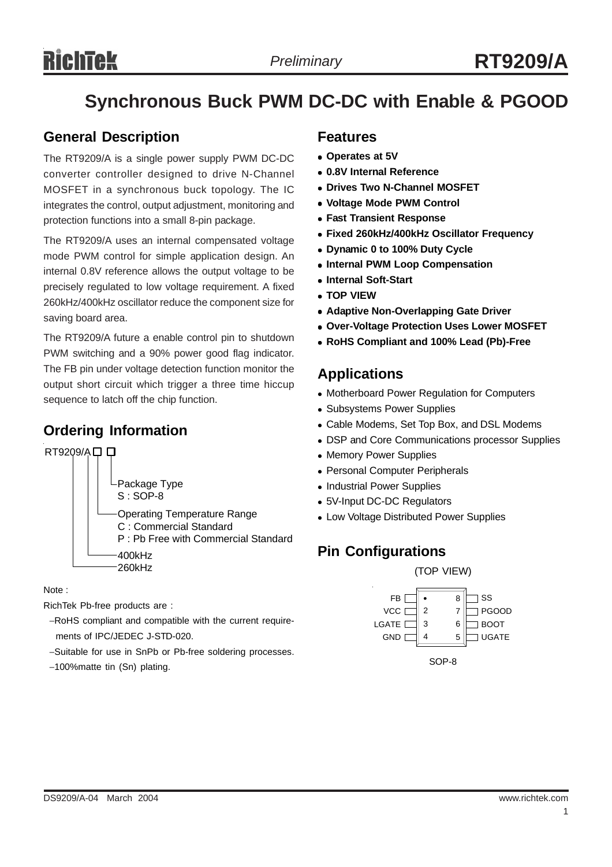# **Synchronous Buck PWM DC-DC with Enable & PGOOD**

### **General Description**

The RT9209/A is a single power supply PWM DC-DC converter controller designed to drive N-Channel MOSFET in a synchronous buck topology. The IC integrates the control, output adjustment, monitoring and protection functions into a small 8-pin package.

The RT9209/A uses an internal compensated voltage mode PWM control for simple application design. An internal 0.8V reference allows the output voltage to be precisely regulated to low voltage requirement. A fixed 260kHz/400kHz oscillator reduce the component size for saving board area.

The RT9209/A future a enable control pin to shutdown PWM switching and a 90% power good flag indicator. The FB pin under voltage detection function monitor the output short circuit which trigger a three time hiccup sequence to latch off the chip function.

# **Ordering Information**



Note :

RichTek Pb-free products are :

- −RoHS compliant and compatible with the current require ments of IPC/JEDEC J-STD-020.
- −Suitable for use in SnPb or Pb-free soldering processes.
- −100%matte tin (Sn) plating.

### **Features**

- <sup>z</sup> **Operates at 5V**
- <sup>z</sup> **0.8V Internal Reference**
- **Drives Two N-Channel MOSFET**
- <sup>z</sup> **Voltage Mode PWM Control**
- **Fast Transient Response**
- <sup>z</sup> **Fixed 260kHz/400kHz Oscillator Frequency**
- **Dynamic 0 to 100% Duty Cycle**
- **Internal PWM Loop Compensation**
- **Internal Soft-Start**
- **TOP VIEW**
- **Adaptive Non-Overlapping Gate Driver**
- **Over-Voltage Protection Uses Lower MOSFET**
- <sup>z</sup> **RoHS Compliant and 100% Lead (Pb)-Free**

### **Applications**

- Motherboard Power Regulation for Computers
- Subsystems Power Supplies
- Cable Modems, Set Top Box, and DSL Modems
- DSP and Core Communications processor Supplies
- Memory Power Supplies
- Personal Computer Peripherals
- Industrial Power Supplies
- 5V-Input DC-DC Regulators
- Low Voltage Distributed Power Supplies

# **Pin Configurations**

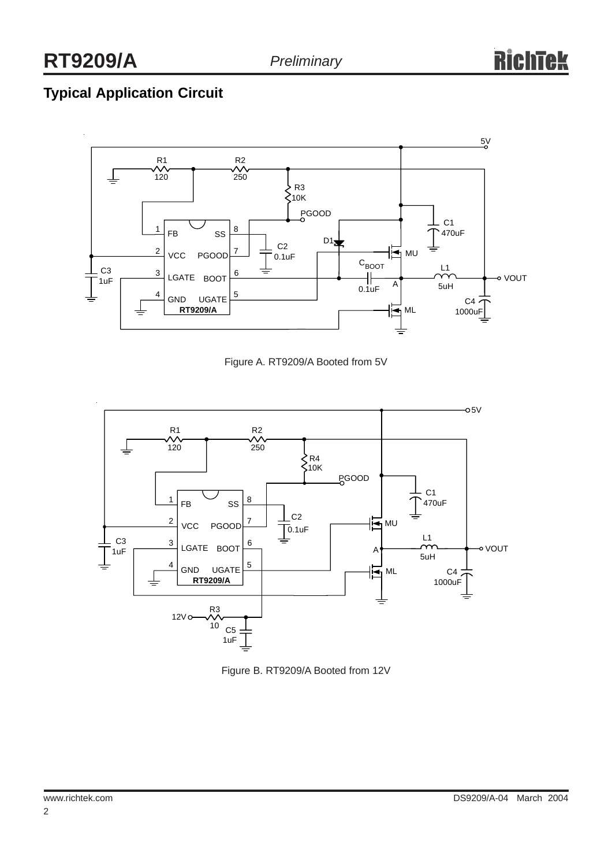# **Typical Application Circuit**



Figure A. RT9209/A Booted from 5V



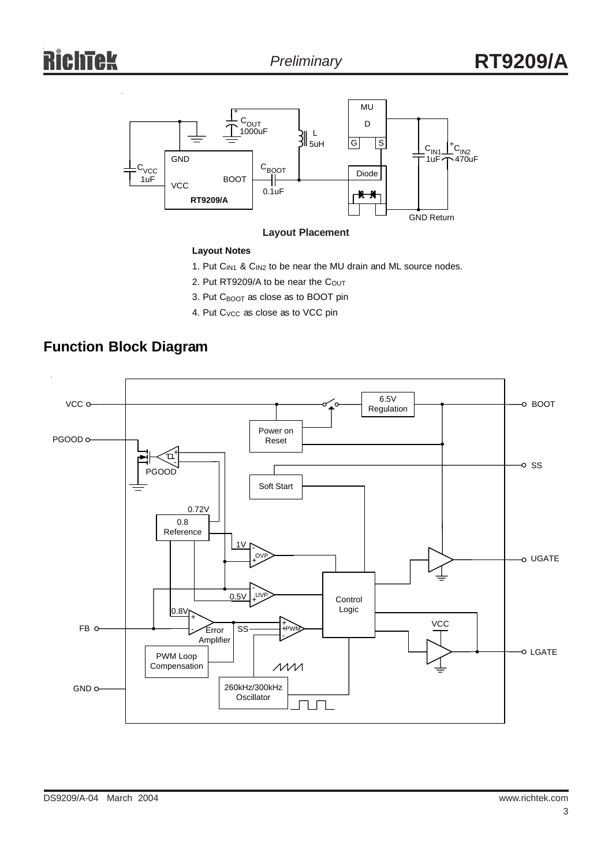# ichtek



### **Layout Notes**

- 1. Put C<sub>IN1</sub> & C<sub>IN2</sub> to be near the MU drain and ML source nodes.
- 2. Put RT9209/A to be near the Cout
- 3. Put C<sub>BOOT</sub> as close as to BOOT pin
- 4. Put C<sub>VCC</sub> as close as to VCC pin



## **Function Block Diagram**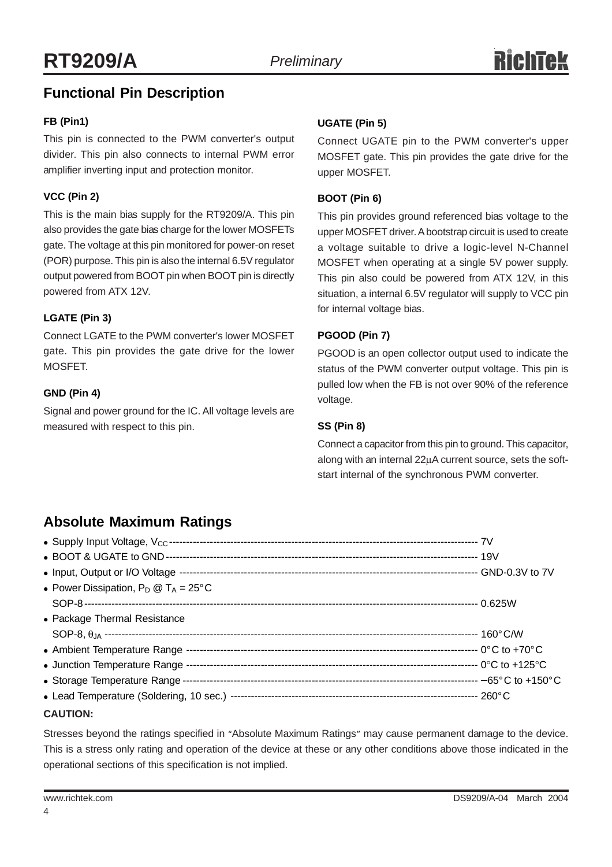# **Functional Pin Description**

### **FB (Pin1)**

This pin is connected to the PWM converter's output divider. This pin also connects to internal PWM error amplifier inverting input and protection monitor.

### **VCC (Pin 2)**

This is the main bias supply for the RT9209/A. This pin also provides the gate bias charge for the lower MOSFETs gate. The voltage at this pin monitored for power-on reset (POR) purpose. This pin is also the internal 6.5V regulator output powered from BOOT pin when BOOT pin is directly powered from ATX 12V.

### **LGATE (Pin 3)**

Connect LGATE to the PWM converter's lower MOSFET gate. This pin provides the gate drive for the lower MOSFET.

### **GND (Pin 4)**

Signal and power ground for the IC. All voltage levels are measured with respect to this pin.

### **UGATE (Pin 5)**

Connect UGATE pin to the PWM converter's upper MOSFET gate. This pin provides the gate drive for the upper MOSFET.

### **BOOT (Pin 6)**

This pin provides ground referenced bias voltage to the upper MOSFET driver. A bootstrap circuit is used to create a voltage suitable to drive a logic-level N-Channel MOSFET when operating at a single 5V power supply. This pin also could be powered from ATX 12V, in this situation, a internal 6.5V regulator will supply to VCC pin for internal voltage bias.

### **PGOOD (Pin 7)**

PGOOD is an open collector output used to indicate the status of the PWM converter output voltage. This pin is pulled low when the FB is not over 90% of the reference voltage.

### **SS (Pin 8)**

Connect a capacitor from this pin to ground. This capacitor, along with an internal 22µA current source, sets the softstart internal of the synchronous PWM converter.

# **Absolute Maximum Ratings**

| • Power Dissipation, $P_D @ T_A = 25^{\circ}C$ |  |
|------------------------------------------------|--|
|                                                |  |
| • Package Thermal Resistance                   |  |
|                                                |  |
|                                                |  |
|                                                |  |
|                                                |  |
|                                                |  |
| <b>CAUTION:</b>                                |  |

Stresses beyond the ratings specified in "Absolute Maximum Ratings" may cause permanent damage to the device. This is a stress only rating and operation of the device at these or any other conditions above those indicated in the operational sections of this specification is not implied.

4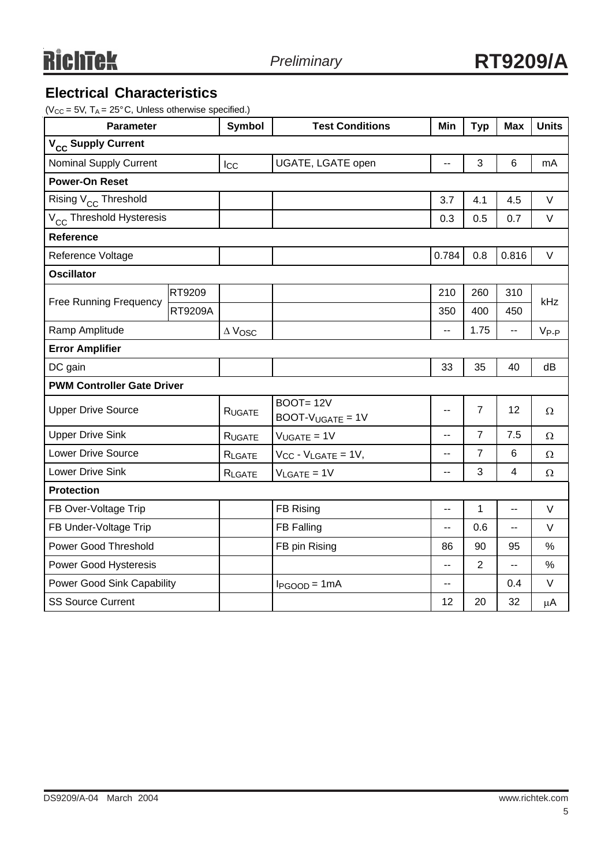# **Electrical Characteristics**

 $(V_{CC} = 5V, T_A = 25^{\circ}C,$  Unless otherwise specified.)

| <b>Parameter</b>                     |                | Symbol          | <b>Test Conditions</b>                | Min            | <b>Typ</b>     | <b>Max</b>      | <b>Units</b>  |  |
|--------------------------------------|----------------|-----------------|---------------------------------------|----------------|----------------|-----------------|---------------|--|
| V <sub>CC</sub> Supply Current       |                |                 |                                       |                |                |                 |               |  |
| <b>Nominal Supply Current</b>        |                | $_{\text{Lcc}}$ | UGATE, LGATE open                     | Ξ.             | 3              | $6\phantom{1}6$ | mA            |  |
| <b>Power-On Reset</b>                |                |                 |                                       |                |                |                 |               |  |
| Rising V <sub>CC</sub> Threshold     |                |                 |                                       | 3.7            | 4.1            | 4.5             | V             |  |
| V <sub>CC</sub> Threshold Hysteresis |                |                 |                                       | 0.3            | 0.5            | 0.7             | V             |  |
| Reference                            |                |                 |                                       |                |                |                 |               |  |
| Reference Voltage                    |                |                 |                                       | 0.784          | 0.8            | 0.816           | $\vee$        |  |
| <b>Oscillator</b>                    |                |                 |                                       |                |                |                 |               |  |
|                                      | RT9209         |                 |                                       | 210            | 260            | 310             | kHz           |  |
| <b>Free Running Frequency</b>        | <b>RT9209A</b> |                 |                                       | 350            | 400            | 450             |               |  |
| Ramp Amplitude                       |                | $\Delta$ Vosc   |                                       | $\overline{a}$ | 1.75           | $\overline{a}$  | $V_{P-P}$     |  |
| <b>Error Amplifier</b>               |                |                 |                                       |                |                |                 |               |  |
| DC gain                              |                |                 |                                       | 33             | 35             | 40              | dB            |  |
| <b>PWM Controller Gate Driver</b>    |                |                 |                                       |                |                |                 |               |  |
| <b>Upper Drive Source</b>            |                | RUGATE          | <b>BOOT=12V</b><br>$BOOT-VUGATE = 1V$ | $-$            | $\overline{7}$ | 12              | Ω             |  |
| <b>Upper Drive Sink</b>              |                | RUGATE          | $V_{UGATE} = 1V$                      | --             | $\overline{7}$ | 7.5             | $\Omega$      |  |
| <b>Lower Drive Source</b>            |                | RLGATE          | $V_{CC} - V_{LGATE} = 1V$ ,           | Ξ.             | $\overline{7}$ | 6               | $\Omega$      |  |
| Lower Drive Sink                     |                | RLGATE          | $V_{LGATE} = 1V$                      | Ξ.             | 3              | $\overline{4}$  | Ω             |  |
| <b>Protection</b>                    |                |                 |                                       |                |                |                 |               |  |
| FB Over-Voltage Trip                 |                |                 | FB Rising                             | --             | 1              | --              | V             |  |
| FB Under-Voltage Trip                |                |                 | FB Falling                            | --             | 0.6            | --              | V             |  |
| <b>Power Good Threshold</b>          |                |                 | FB pin Rising                         | 86             | 90             | 95              | $\frac{0}{0}$ |  |
| Power Good Hysteresis                |                |                 |                                       | --             | $\overline{2}$ | Ш,              | $\%$          |  |
| Power Good Sink Capability           |                |                 | $I_{PGOOD} = 1mA$                     | --             |                | 0.4             | V             |  |
| <b>SS Source Current</b>             |                |                 |                                       | 12             | 20             | 32              | $\mu$ A       |  |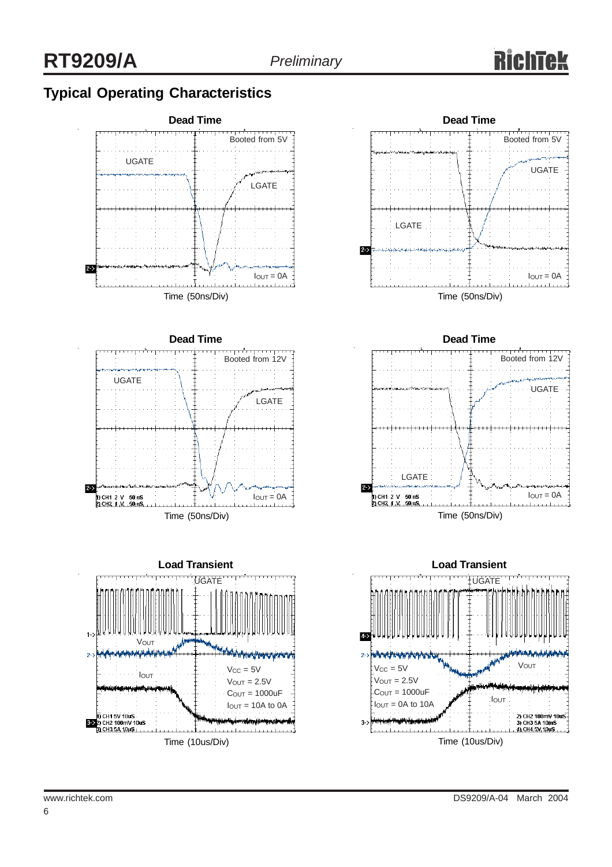# **Typical Operating Characteristics**













6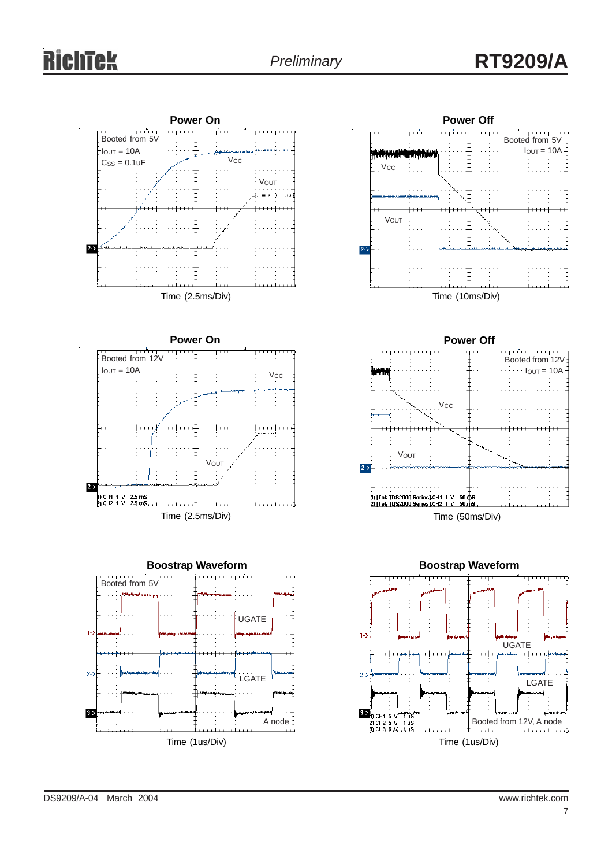# **RichTek**





**Power Off**

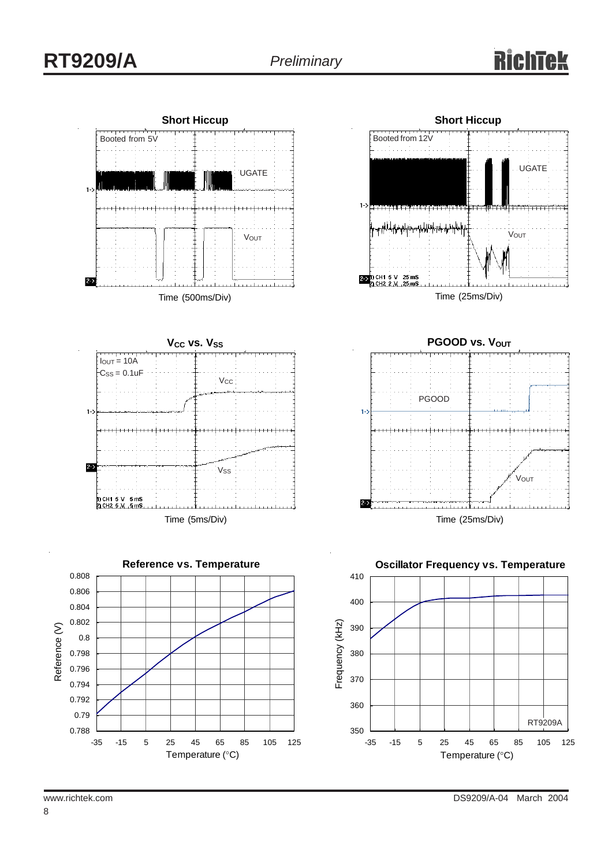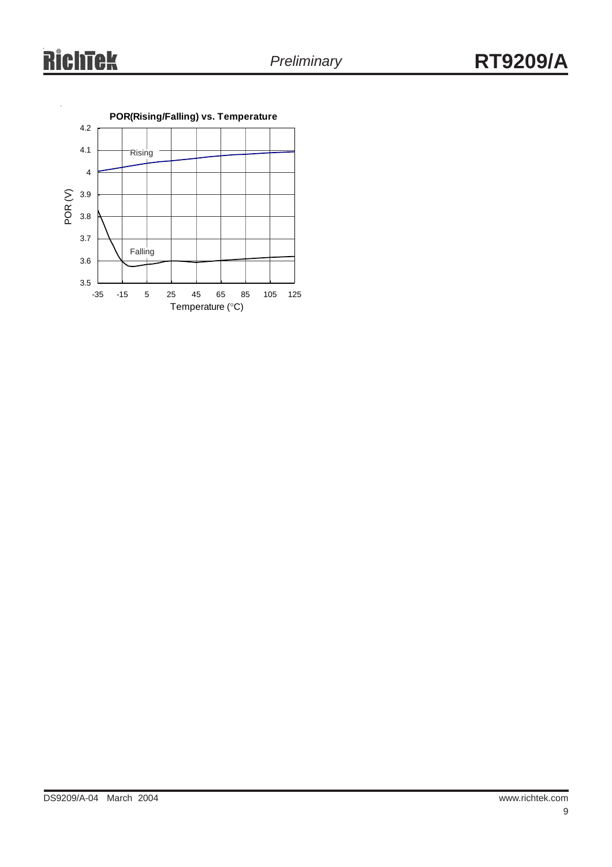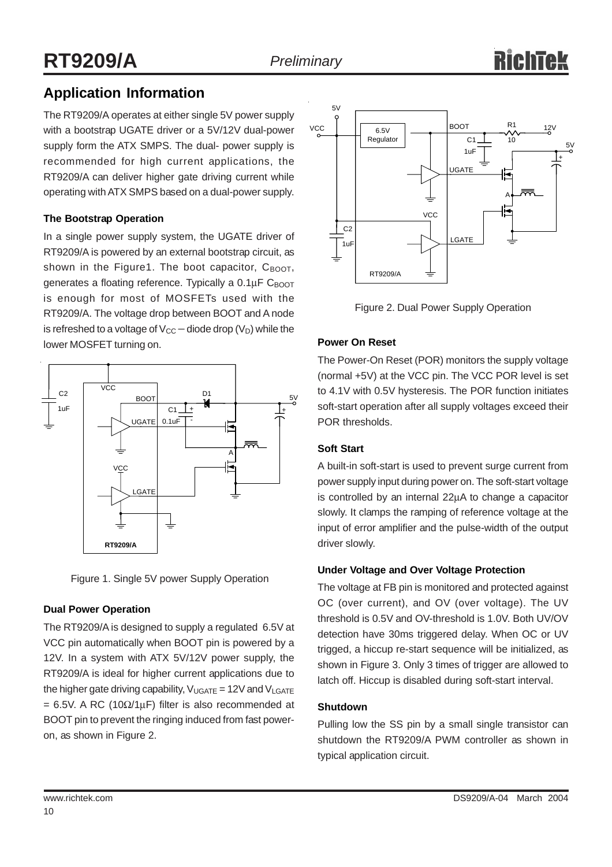# **Application Information**

The RT9209/A operates at either single 5V power supply with a bootstrap UGATE driver or a 5V/12V dual-power supply form the ATX SMPS. The dual- power supply is recommended for high current applications, the RT9209/A can deliver higher gate driving current while operating with ATX SMPS based on a dual-power supply.

### **The Bootstrap Operation**

In a single power supply system, the UGATE driver of RT9209/A is powered by an external bootstrap circuit, as shown in the Figure1. The boot capacitor,  $C_{\text{BOOT}}$ , generates a floating reference. Typically a  $0.1 \mu$ F C<sub>BOOT</sub> is enough for most of MOSFETs used with the RT9209/A. The voltage drop between BOOT and A node is refreshed to a voltage of  $V_{CC}$  – diode drop ( $V_D$ ) while the lower MOSFET turning on.



Figure 1. Single 5V power Supply Operation

### **Dual Power Operation**

The RT9209/A is designed to supply a regulated 6.5V at VCC pin automatically when BOOT pin is powered by a 12V. In a system with ATX 5V/12V power supply, the RT9209/A is ideal for higher current applications due to the higher gate driving capability,  $V_{UGATE} = 12V$  and  $V_{LGATE}$ = 6.5V. A RC (10 $\Omega/1\mu$ F) filter is also recommended at BOOT pin to prevent the ringing induced from fast poweron, as shown in Figure 2.



Figure 2. Dual Power Supply Operation

### **Power On Reset**

The Power-On Reset (POR) monitors the supply voltage (normal +5V) at the VCC pin. The VCC POR level is set to 4.1V with 0.5V hysteresis. The POR function initiates soft-start operation after all supply voltages exceed their POR thresholds.

### **Soft Start**

A built-in soft-start is used to prevent surge current from power supply input during power on. The soft-start voltage is controlled by an internal 22µA to change a capacitor slowly. It clamps the ramping of reference voltage at the input of error amplifier and the pulse-width of the output driver slowly.

### **Under Voltage and Over Voltage Protection**

The voltage at FB pin is monitored and protected against OC (over current), and OV (over voltage). The UV threshold is 0.5V and OV-threshold is 1.0V. Both UV/OV detection have 30ms triggered delay. When OC or UV trigged, a hiccup re-start sequence will be initialized, as shown in Figure 3. Only 3 times of trigger are allowed to latch off. Hiccup is disabled during soft-start interval.

### **Shutdown**

Pulling low the SS pin by a small single transistor can shutdown the RT9209/A PWM controller as shown in typical application circuit.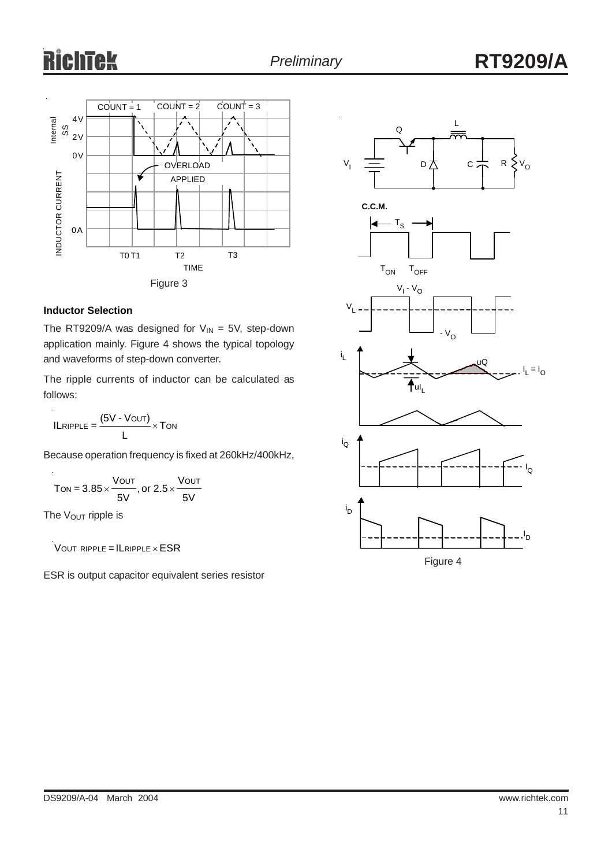# ichtek



### **Inductor Selection**

The RT9209/A was designed for  $V_{IN} = 5V$ , step-down application mainly. Figure 4 shows the typical topology and waveforms of step-down converter.

The ripple currents of inductor can be calculated as follows:

 $ILRIPPLE = \frac{(5V - VOUT)}{V} \times TON$ L

Because operation frequency is fixed at 260kHz/400kHz,

$$
T_{ON} = 3.85 \times \frac{V_{OUT}}{5V}, or 2.5 \times \frac{V_{OUT}}{5V}
$$

The V<sub>OUT</sub> ripple is

l.

 $V$  OUT RIPPLE = ILRIPPLE  $\times$  ESR

ESR is output capacitor equivalent series resistor

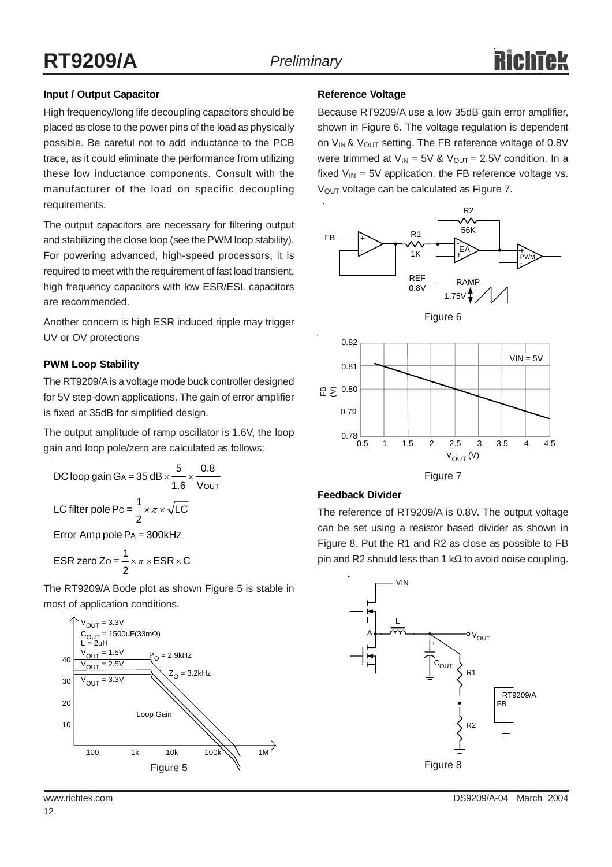### **Input / Output Capacitor**

High frequency/long life decoupling capacitors should be placed as close to the power pins of the load as physically possible. Be careful not to add inductance to the PCB trace, as it could eliminate the performance from utilizing these low inductance components. Consult with the manufacturer of the load on specific decoupling requirements.

The output capacitors are necessary for filtering output and stabilizing the close loop (see the PWM loop stability). For powering advanced, high-speed processors, it is required to meet with the requirement of fast load transient, high frequency capacitors with low ESR/ESL capacitors are recommended.

Another concern is high ESR induced ripple may trigger UV or OV protections

### **PWM Loop Stability**

The RT9209/A is a voltage mode buck controller designed for 5V step-down applications. The gain of error amplifier is fixed at 35dB for simplified design.

The output amplitude of ramp oscillator is 1.6V, the loop gain and loop pole/zero are calculated as follows:

DC loop gain GA = 35 dB × 
$$
\frac{5}{1.6}
$$
 ×  $\frac{0.8}{VOUT}$   
LC filter pole Po =  $\frac{1}{2}$  ×  $\pi$  ×  $\sqrt{LC}$ 

 $Error$  Amp pole  $PA = 300$ kHz

$$
ESR zero Zo = \frac{1}{2} \times \pi \times ESR \times C
$$

The RT9209/A Bode plot as shown Figure 5 is stable in most of application conditions.



#### **Reference Voltage**

Because RT9209/A use a low 35dB gain error amplifier, shown in Figure 6. The voltage regulation is dependent on  $V_{IN}$ &  $V_{OUT}$  setting. The FB reference voltage of 0.8V were trimmed at  $V_{IN} = 5V$  &  $V_{OUT} = 2.5V$  condition. In a fixed  $V_{IN}$  = 5V application, the FB reference voltage vs. V<sub>OUT</sub> voltage can be calculated as Figure 7.









### **Feedback Divider**

The reference of RT9209/A is 0.8V. The output voltage can be set using a resistor based divider as shown in Figure 8. Put the R1 and R2 as close as possible to FB pin and R2 should less than 1 k $\Omega$  to avoid noise coupling.

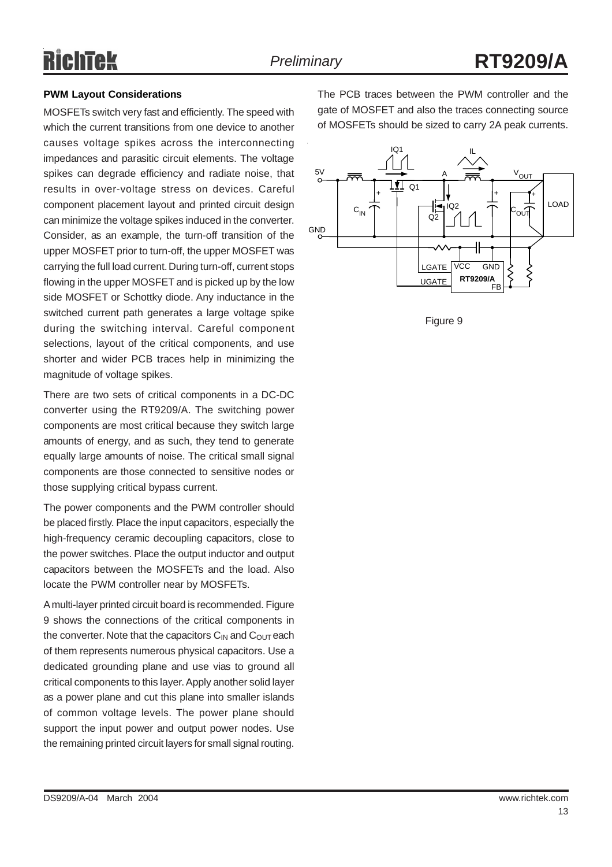# RichTek

### **PWM Layout Considerations**

MOSFETs switch very fast and efficiently. The speed with which the current transitions from one device to another causes voltage spikes across the interconnecting impedances and parasitic circuit elements. The voltage spikes can degrade efficiency and radiate noise, that results in over-voltage stress on devices. Careful component placement layout and printed circuit design can minimize the voltage spikes induced in the converter. Consider, as an example, the turn-off transition of the upper MOSFET prior to turn-off, the upper MOSFET was carrying the full load current. During turn-off, current stops flowing in the upper MOSFET and is picked up by the low side MOSFET or Schottky diode. Any inductance in the switched current path generates a large voltage spike during the switching interval. Careful component selections, layout of the critical components, and use shorter and wider PCB traces help in minimizing the magnitude of voltage spikes.

There are two sets of critical components in a DC-DC converter using the RT9209/A. The switching power components are most critical because they switch large amounts of energy, and as such, they tend to generate equally large amounts of noise. The critical small signal components are those connected to sensitive nodes or those supplying critical bypass current.

The power components and the PWM controller should be placed firstly. Place the input capacitors, especially the high-frequency ceramic decoupling capacitors, close to the power switches. Place the output inductor and output capacitors between the MOSFETs and the load. Also locate the PWM controller near by MOSFETs.

A multi-layer printed circuit board is recommended. Figure 9 shows the connections of the critical components in the converter. Note that the capacitors  $C_{IN}$  and  $C_{OUT}$  each of them represents numerous physical capacitors. Use a dedicated grounding plane and use vias to ground all critical components to this layer. Apply another solid layer as a power plane and cut this plane into smaller islands of common voltage levels. The power plane should support the input power and output power nodes. Use the remaining printed circuit layers for small signal routing.

The PCB traces between the PWM controller and the gate of MOSFET and also the traces connecting source of MOSFETs should be sized to carry 2A peak currents.



Figure 9